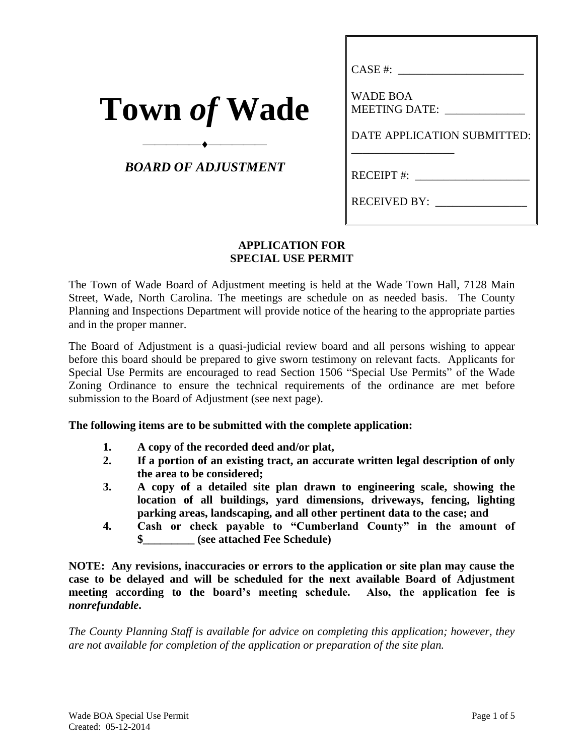| <b>Town of Wade</b> |  |  |  |
|---------------------|--|--|--|
|---------------------|--|--|--|

## *BOARD OF ADJUSTMENT*

⎯⎯⎯⎯⎯⎯⎯⎯⎯⎯

| $CASE #:$ $\_\_$                 |
|----------------------------------|
| <b>WADE BOA</b><br>MEETING DATE: |
| DATE APPLICATION SUBMITTED:      |
| RECEIPT #:                       |
| RECEIVED BY:                     |
|                                  |

### **APPLICATION FOR SPECIAL USE PERMIT**

The Town of Wade Board of Adjustment meeting is held at the Wade Town Hall, 7128 Main Street, Wade, North Carolina. The meetings are schedule on as needed basis. The County Planning and Inspections Department will provide notice of the hearing to the appropriate parties and in the proper manner.

The Board of Adjustment is a quasi-judicial review board and all persons wishing to appear before this board should be prepared to give sworn testimony on relevant facts. Applicants for Special Use Permits are encouraged to read Section 1506 "Special Use Permits" of the Wade Zoning Ordinance to ensure the technical requirements of the ordinance are met before submission to the Board of Adjustment (see next page).

### **The following items are to be submitted with the complete application:**

- **1. A copy of the recorded deed and/or plat,**
- **2. If a portion of an existing tract, an accurate written legal description of only the area to be considered;**
- **3. A copy of a detailed site plan drawn to engineering scale, showing the location of all buildings, yard dimensions, driveways, fencing, lighting parking areas, landscaping, and all other pertinent data to the case; and**
- **4. Cash or check payable to "Cumberland County" in the amount of \$\_\_\_\_\_\_\_\_\_ (see attached Fee Schedule)**

**NOTE: Any revisions, inaccuracies or errors to the application or site plan may cause the case to be delayed and will be scheduled for the next available Board of Adjustment meeting according to the board's meeting schedule. Also, the application fee is**  *nonrefundable***.**

*The County Planning Staff is available for advice on completing this application; however, they are not available for completion of the application or preparation of the site plan.*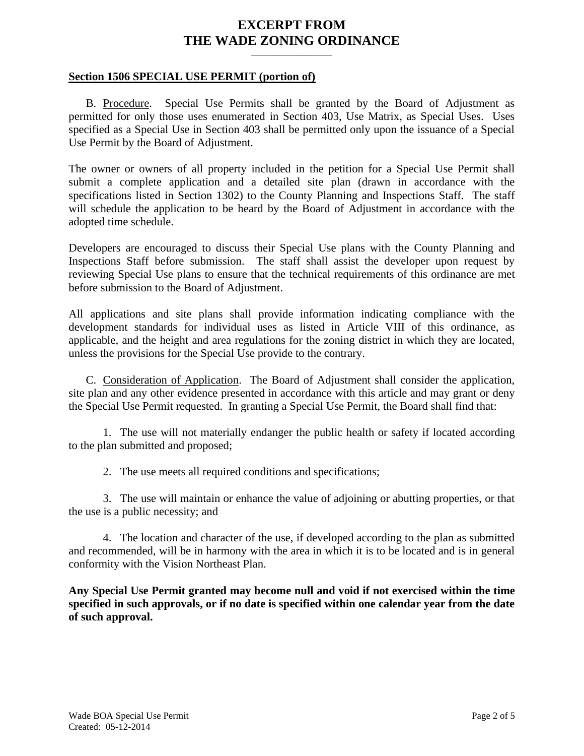## **EXCERPT FROM THE WADE ZONING ORDINANCE**

**\_\_\_\_\_\_\_\_\_\_\_\_\_\_\_\_\_\_\_**

#### **Section 1506 SPECIAL USE PERMIT (portion of)**

B. Procedure. Special Use Permits shall be granted by the Board of Adjustment as permitted for only those uses enumerated in Section 403, Use Matrix, as Special Uses. Uses specified as a Special Use in Section 403 shall be permitted only upon the issuance of a Special Use Permit by the Board of Adjustment.

The owner or owners of all property included in the petition for a Special Use Permit shall submit a complete application and a detailed site plan (drawn in accordance with the specifications listed in Section 1302) to the County Planning and Inspections Staff. The staff will schedule the application to be heard by the Board of Adjustment in accordance with the adopted time schedule.

Developers are encouraged to discuss their Special Use plans with the County Planning and Inspections Staff before submission. The staff shall assist the developer upon request by reviewing Special Use plans to ensure that the technical requirements of this ordinance are met before submission to the Board of Adjustment.

All applications and site plans shall provide information indicating compliance with the development standards for individual uses as listed in Article VIII of this ordinance, as applicable, and the height and area regulations for the zoning district in which they are located, unless the provisions for the Special Use provide to the contrary.

C. Consideration of Application.The Board of Adjustment shall consider the application, site plan and any other evidence presented in accordance with this article and may grant or deny the Special Use Permit requested. In granting a Special Use Permit, the Board shall find that:

1. The use will not materially endanger the public health or safety if located according to the plan submitted and proposed;

2. The use meets all required conditions and specifications;

3. The use will maintain or enhance the value of adjoining or abutting properties, or that the use is a public necessity; and

4. The location and character of the use, if developed according to the plan as submitted and recommended, will be in harmony with the area in which it is to be located and is in general conformity with the Vision Northeast Plan.

**Any Special Use Permit granted may become null and void if not exercised within the time specified in such approvals, or if no date is specified within one calendar year from the date of such approval.**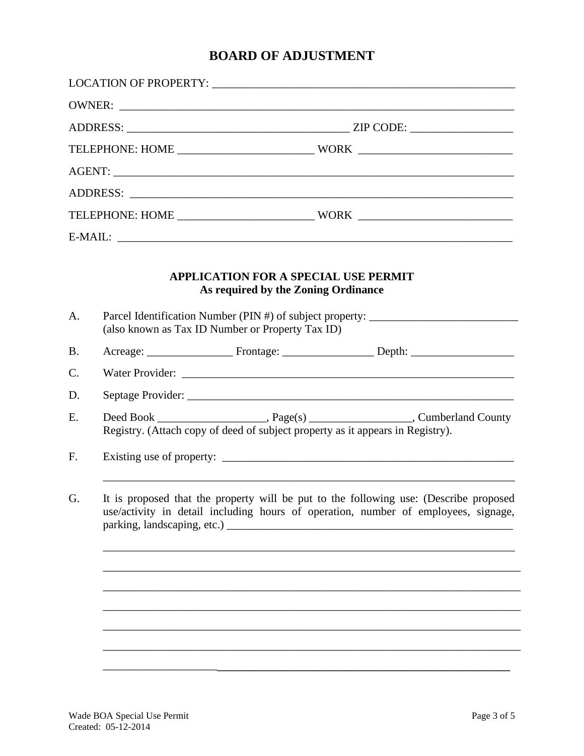# **BOARD OF ADJUSTMENT**

| A.        | <b>APPLICATION FOR A SPECIAL USE PERMIT</b><br>As required by the Zoning Ordinance<br>(also known as Tax ID Number or Property Tax ID)                                                                     | Parcel Identification Number (PIN #) of subject property: _______________________ |  |  |  |  |
|-----------|------------------------------------------------------------------------------------------------------------------------------------------------------------------------------------------------------------|-----------------------------------------------------------------------------------|--|--|--|--|
| <b>B.</b> |                                                                                                                                                                                                            |                                                                                   |  |  |  |  |
| C.        |                                                                                                                                                                                                            |                                                                                   |  |  |  |  |
| D.        |                                                                                                                                                                                                            |                                                                                   |  |  |  |  |
| E.        | Registry. (Attach copy of deed of subject property as it appears in Registry).                                                                                                                             |                                                                                   |  |  |  |  |
| F.        |                                                                                                                                                                                                            |                                                                                   |  |  |  |  |
| G.        | It is proposed that the property will be put to the following use: (Describe proposed<br>use/activity in detail including hours of operation, number of employees, signage,<br>parking, landscaping, etc.) |                                                                                   |  |  |  |  |
|           |                                                                                                                                                                                                            |                                                                                   |  |  |  |  |
|           |                                                                                                                                                                                                            |                                                                                   |  |  |  |  |
|           |                                                                                                                                                                                                            |                                                                                   |  |  |  |  |
|           |                                                                                                                                                                                                            |                                                                                   |  |  |  |  |
|           |                                                                                                                                                                                                            |                                                                                   |  |  |  |  |
|           |                                                                                                                                                                                                            |                                                                                   |  |  |  |  |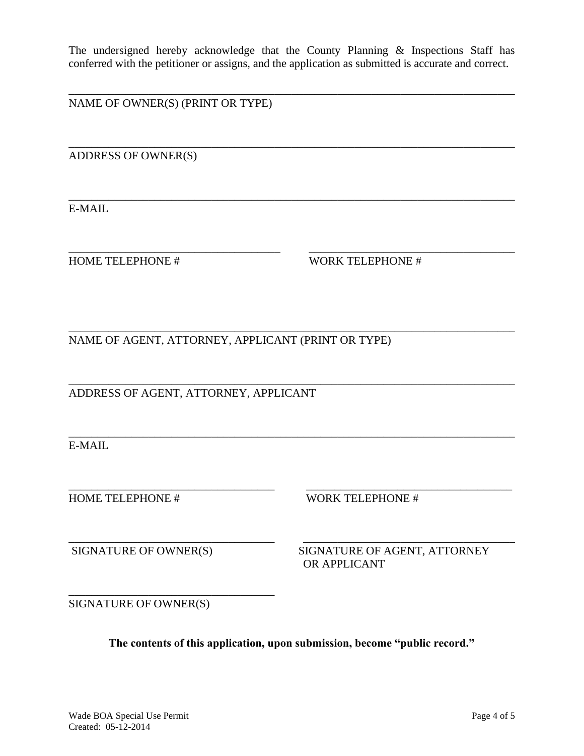The undersigned hereby acknowledge that the County Planning & Inspections Staff has conferred with the petitioner or assigns, and the application as submitted is accurate and correct.

\_\_\_\_\_\_\_\_\_\_\_\_\_\_\_\_\_\_\_\_\_\_\_\_\_\_\_\_\_\_\_\_\_\_\_\_\_\_\_\_\_\_\_\_\_\_\_\_\_\_\_\_\_\_\_\_\_\_\_\_\_\_\_\_\_\_\_\_\_\_\_\_\_\_\_\_\_\_

\_\_\_\_\_\_\_\_\_\_\_\_\_\_\_\_\_\_\_\_\_\_\_\_\_\_\_\_\_\_\_\_\_\_\_\_\_\_\_\_\_\_\_\_\_\_\_\_\_\_\_\_\_\_\_\_\_\_\_\_\_\_\_\_\_\_\_\_\_\_\_\_\_\_\_\_\_\_

\_\_\_\_\_\_\_\_\_\_\_\_\_\_\_\_\_\_\_\_\_\_\_\_\_\_\_\_\_\_\_\_\_\_\_\_\_\_\_\_\_\_\_\_\_\_\_\_\_\_\_\_\_\_\_\_\_\_\_\_\_\_\_\_\_\_\_\_\_\_\_\_\_\_\_\_\_\_

\_\_\_\_\_\_\_\_\_\_\_\_\_\_\_\_\_\_\_\_\_\_\_\_\_\_\_\_\_\_\_\_\_\_\_\_\_ \_\_\_\_\_\_\_\_\_\_\_\_\_\_\_\_\_\_\_\_\_\_\_\_\_\_\_\_\_\_\_\_\_\_\_\_

\_\_\_\_\_\_\_\_\_\_\_\_\_\_\_\_\_\_\_\_\_\_\_\_\_\_\_\_\_\_\_\_\_\_\_\_\_\_\_\_\_\_\_\_\_\_\_\_\_\_\_\_\_\_\_\_\_\_\_\_\_\_\_\_\_\_\_\_\_\_\_\_\_\_\_\_\_\_

\_\_\_\_\_\_\_\_\_\_\_\_\_\_\_\_\_\_\_\_\_\_\_\_\_\_\_\_\_\_\_\_\_\_\_\_\_\_\_\_\_\_\_\_\_\_\_\_\_\_\_\_\_\_\_\_\_\_\_\_\_\_\_\_\_\_\_\_\_\_\_\_\_\_\_\_\_\_

NAME OF OWNER(S) (PRINT OR TYPE)

ADDRESS OF OWNER(S)

E-MAIL

HOME TELEPHONE # WORK TELEPHONE #

NAME OF AGENT, ATTORNEY, APPLICANT (PRINT OR TYPE)

\_\_\_\_\_\_\_\_\_\_\_\_\_\_\_\_\_\_\_\_\_\_\_\_\_\_\_\_\_\_\_\_\_\_\_\_\_\_\_\_\_\_\_\_\_\_\_\_\_\_\_\_\_\_\_\_\_\_\_\_\_\_\_\_\_\_\_\_\_\_\_\_\_\_\_\_\_\_ ADDRESS OF AGENT, ATTORNEY, APPLICANT

E-MAIL

\_\_\_\_\_\_\_\_\_\_\_\_\_\_\_\_\_\_\_\_\_\_\_\_\_\_\_\_\_\_\_\_\_\_\_\_ \_\_\_\_\_\_\_\_\_\_\_\_\_\_\_\_\_\_\_\_\_\_\_\_\_\_\_\_\_\_\_\_\_\_\_\_ HOME TELEPHONE # WORK TELEPHONE #

\_\_\_\_\_\_\_\_\_\_\_\_\_\_\_\_\_\_\_\_\_\_\_\_\_\_\_\_\_\_\_\_\_\_\_\_ \_\_\_\_\_\_\_\_\_\_\_\_\_\_\_\_\_\_\_\_\_\_\_\_\_\_\_\_\_\_\_\_\_\_\_\_\_ SIGNATURE OF OWNER(S) SIGNATURE OF AGENT, ATTORNEY OR APPLICANT

SIGNATURE OF OWNER(S)

\_\_\_\_\_\_\_\_\_\_\_\_\_\_\_\_\_\_\_\_\_\_\_\_\_\_\_\_\_\_\_\_\_\_\_\_

**The contents of this application, upon submission, become "public record."**